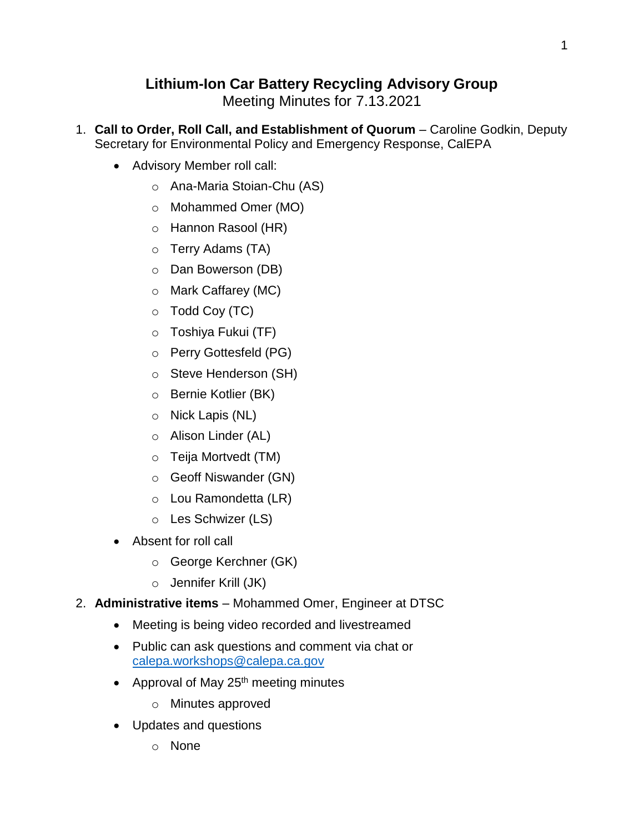# **Lithium-Ion Car Battery Recycling Advisory Group**

Meeting Minutes for 7.13.2021

- 1. **Call to Order, Roll Call, and Establishment of Quorum** Caroline Godkin, Deputy Secretary for Environmental Policy and Emergency Response, CalEPA
	- Advisory Member roll call:
		- o Ana-Maria Stoian-Chu (AS)
		- o Mohammed Omer (MO)
		- o Hannon Rasool (HR)
		- o Terry Adams (TA)
		- o Dan Bowerson (DB)
		- o Mark Caffarey (MC)
		- o Todd Coy (TC)
		- o Toshiya Fukui (TF)
		- o Perry Gottesfeld (PG)
		- o Steve Henderson (SH)
		- o Bernie Kotlier (BK)
		- o Nick Lapis (NL)
		- o Alison Linder (AL)
		- o Teija Mortvedt (TM)
		- o Geoff Niswander (GN)
		- o Lou Ramondetta (LR)
		- o Les Schwizer (LS)
	- Absent for roll call
		- o George Kerchner (GK)
		- o Jennifer Krill (JK)
- 2. **Administrative items** Mohammed Omer, Engineer at DTSC
	- Meeting is being video recorded and livestreamed
	- Public can ask questions and comment via chat or [calepa.workshops@calepa.ca.gov](mailto:calepa.workshops@calepa.ca.gov)
	- Approval of May  $25<sup>th</sup>$  meeting minutes
		- o Minutes approved
	- Updates and questions
		- o None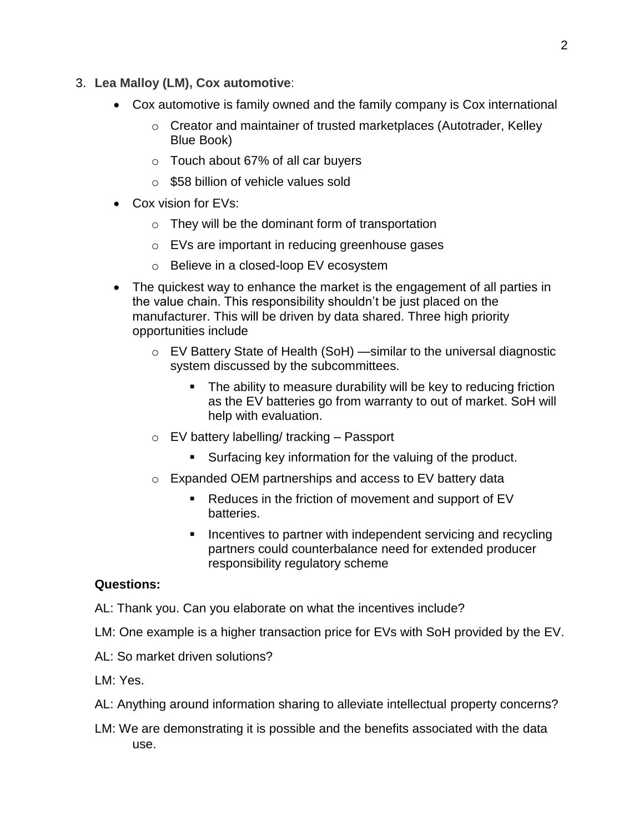- 3. **Lea Malloy (LM), Cox automotive**:
	- Cox automotive is family owned and the family company is Cox international
		- o Creator and maintainer of trusted marketplaces (Autotrader, Kelley Blue Book)
		- o Touch about 67% of all car buyers
		- $\circ$  \$58 billion of vehicle values sold
	- Cox vision for EVs:
		- $\circ$  They will be the dominant form of transportation
		- o EVs are important in reducing greenhouse gases
		- o Believe in a closed-loop EV ecosystem
	- The quickest way to enhance the market is the engagement of all parties in the value chain. This responsibility shouldn't be just placed on the manufacturer. This will be driven by data shared. Three high priority opportunities include
		- o EV Battery State of Health (SoH) —similar to the universal diagnostic system discussed by the subcommittees.
			- The ability to measure durability will be key to reducing friction as the EV batteries go from warranty to out of market. SoH will help with evaluation.
		- o EV battery labelling/ tracking Passport
			- Surfacing key information for the valuing of the product.
		- o Expanded OEM partnerships and access to EV battery data
			- Reduces in the friction of movement and support of EV batteries.
			- **IF** Incentives to partner with independent servicing and recycling partners could counterbalance need for extended producer responsibility regulatory scheme

## **Questions:**

AL: Thank you. Can you elaborate on what the incentives include?

- LM: One example is a higher transaction price for EVs with SoH provided by the EV.
- AL: So market driven solutions?

LM: Yes.

- AL: Anything around information sharing to alleviate intellectual property concerns?
- LM: We are demonstrating it is possible and the benefits associated with the data use.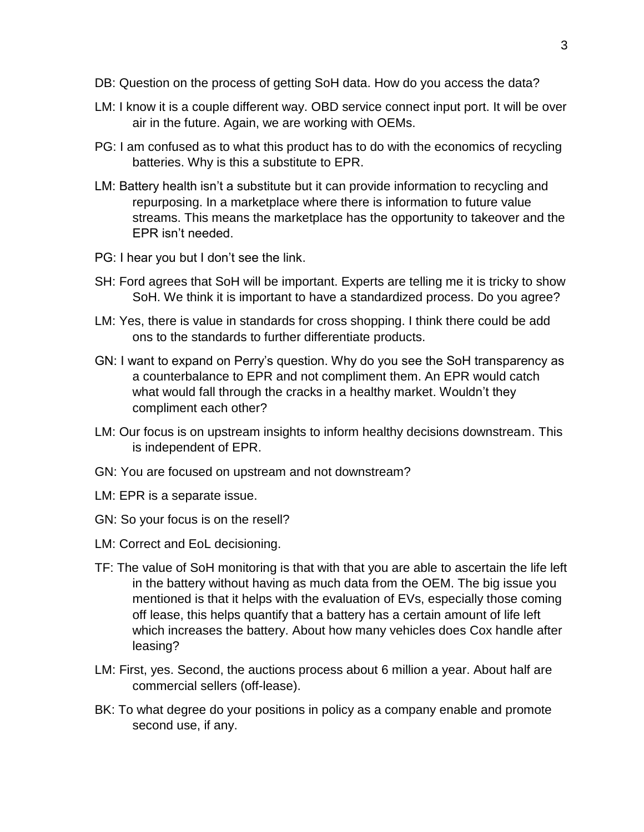- DB: Question on the process of getting SoH data. How do you access the data?
- LM: I know it is a couple different way. OBD service connect input port. It will be over air in the future. Again, we are working with OEMs.
- PG: I am confused as to what this product has to do with the economics of recycling batteries. Why is this a substitute to EPR.
- LM: Battery health isn't a substitute but it can provide information to recycling and repurposing. In a marketplace where there is information to future value streams. This means the marketplace has the opportunity to takeover and the EPR isn't needed.
- PG: I hear you but I don't see the link.
- SH: Ford agrees that SoH will be important. Experts are telling me it is tricky to show SoH. We think it is important to have a standardized process. Do you agree?
- LM: Yes, there is value in standards for cross shopping. I think there could be add ons to the standards to further differentiate products.
- GN: I want to expand on Perry's question. Why do you see the SoH transparency as a counterbalance to EPR and not compliment them. An EPR would catch what would fall through the cracks in a healthy market. Wouldn't they compliment each other?
- LM: Our focus is on upstream insights to inform healthy decisions downstream. This is independent of EPR.
- GN: You are focused on upstream and not downstream?
- LM: EPR is a separate issue.
- GN: So your focus is on the resell?
- LM: Correct and EoL decisioning.
- TF: The value of SoH monitoring is that with that you are able to ascertain the life left in the battery without having as much data from the OEM. The big issue you mentioned is that it helps with the evaluation of EVs, especially those coming off lease, this helps quantify that a battery has a certain amount of life left which increases the battery. About how many vehicles does Cox handle after leasing?
- LM: First, yes. Second, the auctions process about 6 million a year. About half are commercial sellers (off-lease).
- BK: To what degree do your positions in policy as a company enable and promote second use, if any.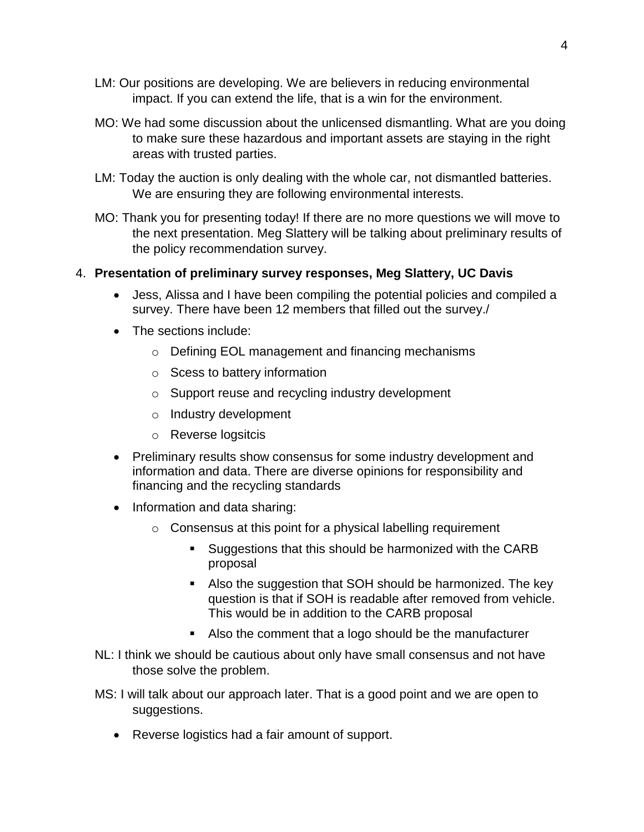- LM: Our positions are developing. We are believers in reducing environmental impact. If you can extend the life, that is a win for the environment.
- MO: We had some discussion about the unlicensed dismantling. What are you doing to make sure these hazardous and important assets are staying in the right areas with trusted parties.
- LM: Today the auction is only dealing with the whole car, not dismantled batteries. We are ensuring they are following environmental interests.
- MO: Thank you for presenting today! If there are no more questions we will move to the next presentation. Meg Slattery will be talking about preliminary results of the policy recommendation survey.

#### 4. **Presentation of preliminary survey responses, Meg Slattery, UC Davis**

- Jess, Alissa and I have been compiling the potential policies and compiled a survey. There have been 12 members that filled out the survey./
- The sections include:
	- o Defining EOL management and financing mechanisms
	- o Scess to battery information
	- o Support reuse and recycling industry development
	- o Industry development
	- o Reverse logsitcis
- Preliminary results show consensus for some industry development and information and data. There are diverse opinions for responsibility and financing and the recycling standards
- Information and data sharing:
	- o Consensus at this point for a physical labelling requirement
		- **Suggestions that this should be harmonized with the CARB** proposal
		- Also the suggestion that SOH should be harmonized. The key question is that if SOH is readable after removed from vehicle. This would be in addition to the CARB proposal
		- Also the comment that a logo should be the manufacturer
- NL: I think we should be cautious about only have small consensus and not have those solve the problem.
- MS: I will talk about our approach later. That is a good point and we are open to suggestions.
	- Reverse logistics had a fair amount of support.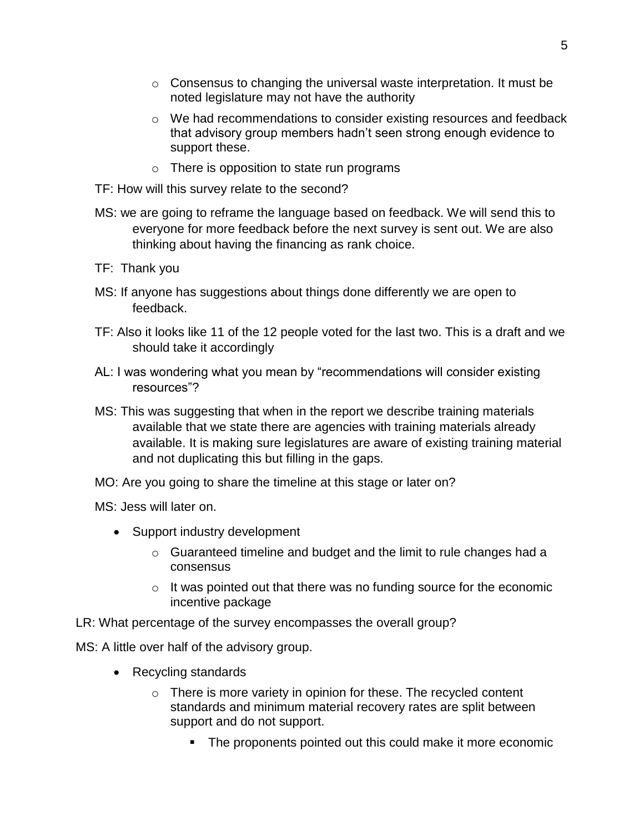- $\circ$  Consensus to changing the universal waste interpretation. It must be noted legislature may not have the authority
- o We had recommendations to consider existing resources and feedback that advisory group members hadn't seen strong enough evidence to support these.
- $\circ$  There is opposition to state run programs
- TF: How will this survey relate to the second?
- MS: we are going to reframe the language based on feedback. We will send this to everyone for more feedback before the next survey is sent out. We are also thinking about having the financing as rank choice.
- TF: Thank you
- MS: If anyone has suggestions about things done differently we are open to feedback.
- TF: Also it looks like 11 of the 12 people voted for the last two. This is a draft and we should take it accordingly
- AL: I was wondering what you mean by "recommendations will consider existing resources"?
- MS: This was suggesting that when in the report we describe training materials available that we state there are agencies with training materials already available. It is making sure legislatures are aware of existing training material and not duplicating this but filling in the gaps.
- MO: Are you going to share the timeline at this stage or later on?

MS: Jess will later on.

- Support industry development
	- $\circ$  Guaranteed timeline and budget and the limit to rule changes had a consensus
	- $\circ$  It was pointed out that there was no funding source for the economic incentive package
- LR: What percentage of the survey encompasses the overall group?

MS: A little over half of the advisory group.

- Recycling standards
	- $\circ$  There is more variety in opinion for these. The recycled content standards and minimum material recovery rates are split between support and do not support.
		- The proponents pointed out this could make it more economic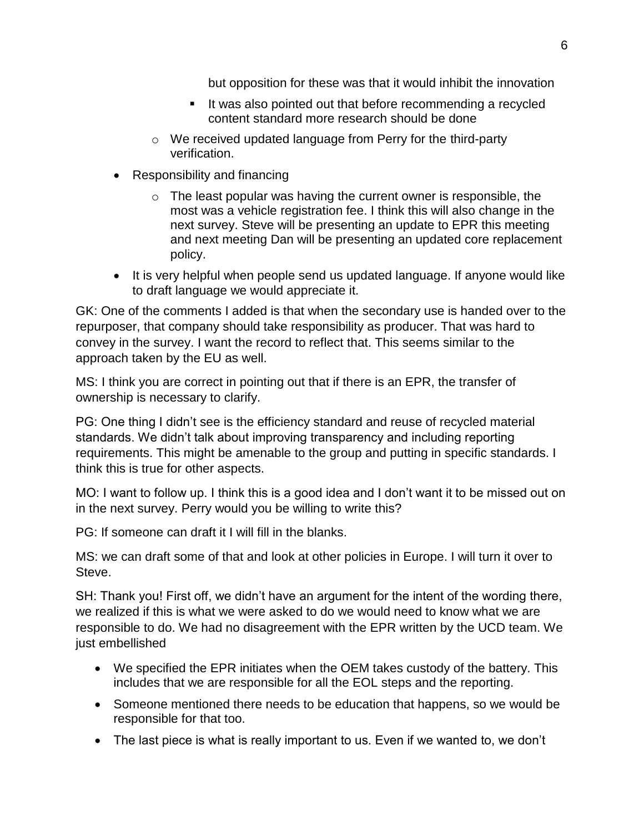but opposition for these was that it would inhibit the innovation

- If was also pointed out that before recommending a recycled content standard more research should be done
- o We received updated language from Perry for the third-party verification.
- Responsibility and financing
	- $\circ$  The least popular was having the current owner is responsible, the most was a vehicle registration fee. I think this will also change in the next survey. Steve will be presenting an update to EPR this meeting and next meeting Dan will be presenting an updated core replacement policy.
- It is very helpful when people send us updated language. If anyone would like to draft language we would appreciate it.

GK: One of the comments I added is that when the secondary use is handed over to the repurposer, that company should take responsibility as producer. That was hard to convey in the survey. I want the record to reflect that. This seems similar to the approach taken by the EU as well.

MS: I think you are correct in pointing out that if there is an EPR, the transfer of ownership is necessary to clarify.

PG: One thing I didn't see is the efficiency standard and reuse of recycled material standards. We didn't talk about improving transparency and including reporting requirements. This might be amenable to the group and putting in specific standards. I think this is true for other aspects.

MO: I want to follow up. I think this is a good idea and I don't want it to be missed out on in the next survey. Perry would you be willing to write this?

PG: If someone can draft it I will fill in the blanks.

MS: we can draft some of that and look at other policies in Europe. I will turn it over to Steve.

SH: Thank you! First off, we didn't have an argument for the intent of the wording there, we realized if this is what we were asked to do we would need to know what we are responsible to do. We had no disagreement with the EPR written by the UCD team. We just embellished

- We specified the EPR initiates when the OEM takes custody of the battery. This includes that we are responsible for all the EOL steps and the reporting.
- Someone mentioned there needs to be education that happens, so we would be responsible for that too.
- The last piece is what is really important to us. Even if we wanted to, we don't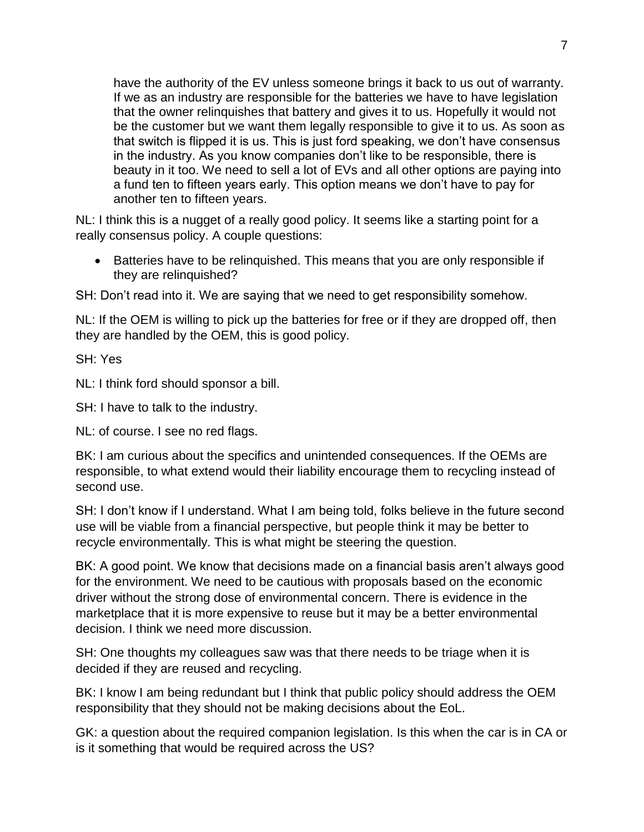have the authority of the EV unless someone brings it back to us out of warranty. If we as an industry are responsible for the batteries we have to have legislation that the owner relinquishes that battery and gives it to us. Hopefully it would not be the customer but we want them legally responsible to give it to us. As soon as that switch is flipped it is us. This is just ford speaking, we don't have consensus in the industry. As you know companies don't like to be responsible, there is beauty in it too. We need to sell a lot of EVs and all other options are paying into a fund ten to fifteen years early. This option means we don't have to pay for another ten to fifteen years.

NL: I think this is a nugget of a really good policy. It seems like a starting point for a really consensus policy. A couple questions:

• Batteries have to be relinguished. This means that you are only responsible if they are relinquished?

SH: Don't read into it. We are saying that we need to get responsibility somehow.

NL: If the OEM is willing to pick up the batteries for free or if they are dropped off, then they are handled by the OEM, this is good policy.

SH: Yes

NL: I think ford should sponsor a bill.

SH: I have to talk to the industry.

NL: of course. I see no red flags.

BK: I am curious about the specifics and unintended consequences. If the OEMs are responsible, to what extend would their liability encourage them to recycling instead of second use.

SH: I don't know if I understand. What I am being told, folks believe in the future second use will be viable from a financial perspective, but people think it may be better to recycle environmentally. This is what might be steering the question.

BK: A good point. We know that decisions made on a financial basis aren't always good for the environment. We need to be cautious with proposals based on the economic driver without the strong dose of environmental concern. There is evidence in the marketplace that it is more expensive to reuse but it may be a better environmental decision. I think we need more discussion.

SH: One thoughts my colleagues saw was that there needs to be triage when it is decided if they are reused and recycling.

BK: I know I am being redundant but I think that public policy should address the OEM responsibility that they should not be making decisions about the EoL.

GK: a question about the required companion legislation. Is this when the car is in CA or is it something that would be required across the US?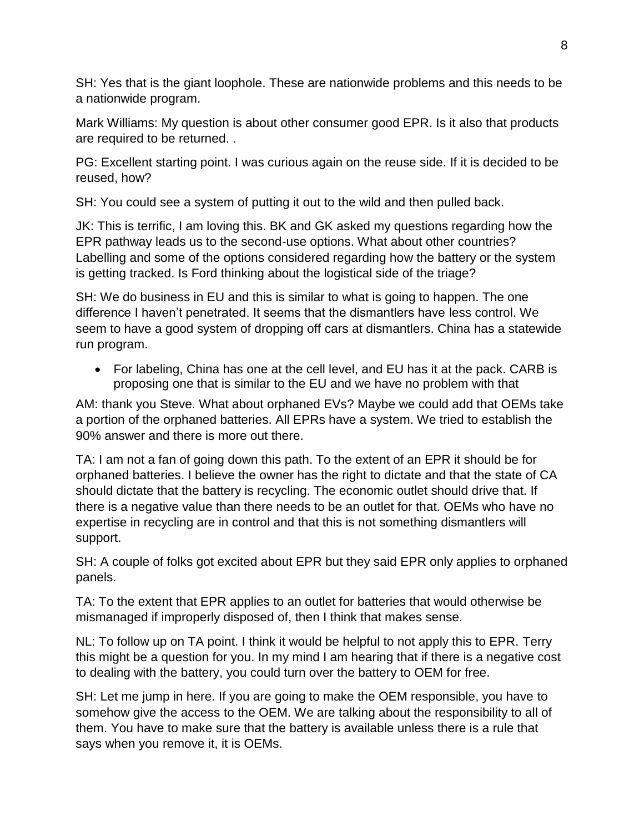SH: Yes that is the giant loophole. These are nationwide problems and this needs to be a nationwide program.

Mark Williams: My question is about other consumer good EPR. Is it also that products are required to be returned. .

PG: Excellent starting point. I was curious again on the reuse side. If it is decided to be reused, how?

SH: You could see a system of putting it out to the wild and then pulled back.

JK: This is terrific, I am loving this. BK and GK asked my questions regarding how the EPR pathway leads us to the second-use options. What about other countries? Labelling and some of the options considered regarding how the battery or the system is getting tracked. Is Ford thinking about the logistical side of the triage?

SH: We do business in EU and this is similar to what is going to happen. The one difference I haven't penetrated. It seems that the dismantlers have less control. We seem to have a good system of dropping off cars at dismantlers. China has a statewide run program.

 For labeling, China has one at the cell level, and EU has it at the pack. CARB is proposing one that is similar to the EU and we have no problem with that

AM: thank you Steve. What about orphaned EVs? Maybe we could add that OEMs take a portion of the orphaned batteries. All EPRs have a system. We tried to establish the 90% answer and there is more out there.

TA: I am not a fan of going down this path. To the extent of an EPR it should be for orphaned batteries. I believe the owner has the right to dictate and that the state of CA should dictate that the battery is recycling. The economic outlet should drive that. If there is a negative value than there needs to be an outlet for that. OEMs who have no expertise in recycling are in control and that this is not something dismantlers will support.

SH: A couple of folks got excited about EPR but they said EPR only applies to orphaned panels.

TA: To the extent that EPR applies to an outlet for batteries that would otherwise be mismanaged if improperly disposed of, then I think that makes sense.

NL: To follow up on TA point. I think it would be helpful to not apply this to EPR. Terry this might be a question for you. In my mind I am hearing that if there is a negative cost to dealing with the battery, you could turn over the battery to OEM for free.

SH: Let me jump in here. If you are going to make the OEM responsible, you have to somehow give the access to the OEM. We are talking about the responsibility to all of them. You have to make sure that the battery is available unless there is a rule that says when you remove it, it is OEMs.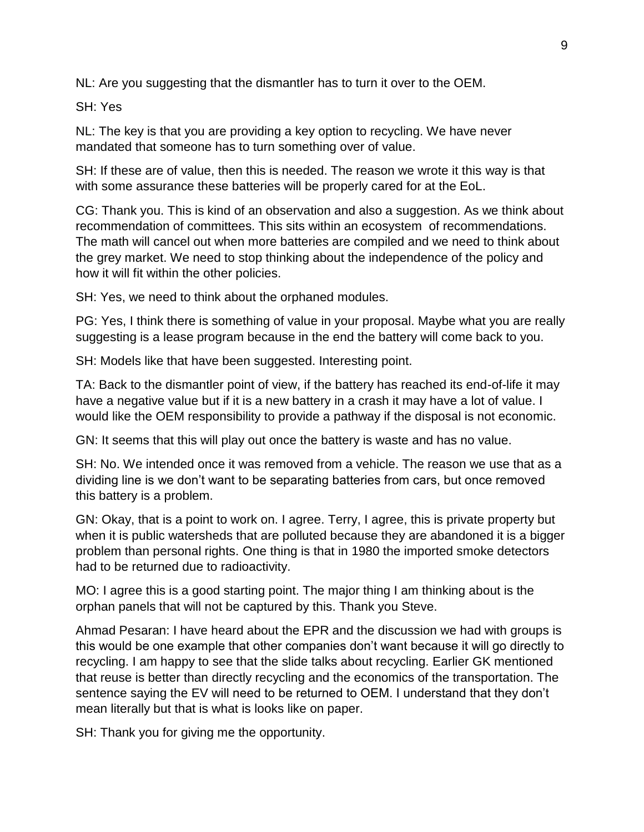NL: Are you suggesting that the dismantler has to turn it over to the OEM.

SH: Yes

NL: The key is that you are providing a key option to recycling. We have never mandated that someone has to turn something over of value.

SH: If these are of value, then this is needed. The reason we wrote it this way is that with some assurance these batteries will be properly cared for at the EoL.

CG: Thank you. This is kind of an observation and also a suggestion. As we think about recommendation of committees. This sits within an ecosystem of recommendations. The math will cancel out when more batteries are compiled and we need to think about the grey market. We need to stop thinking about the independence of the policy and how it will fit within the other policies.

SH: Yes, we need to think about the orphaned modules.

PG: Yes, I think there is something of value in your proposal. Maybe what you are really suggesting is a lease program because in the end the battery will come back to you.

SH: Models like that have been suggested. Interesting point.

TA: Back to the dismantler point of view, if the battery has reached its end-of-life it may have a negative value but if it is a new battery in a crash it may have a lot of value. I would like the OEM responsibility to provide a pathway if the disposal is not economic.

GN: It seems that this will play out once the battery is waste and has no value.

SH: No. We intended once it was removed from a vehicle. The reason we use that as a dividing line is we don't want to be separating batteries from cars, but once removed this battery is a problem.

GN: Okay, that is a point to work on. I agree. Terry, I agree, this is private property but when it is public watersheds that are polluted because they are abandoned it is a bigger problem than personal rights. One thing is that in 1980 the imported smoke detectors had to be returned due to radioactivity.

MO: I agree this is a good starting point. The major thing I am thinking about is the orphan panels that will not be captured by this. Thank you Steve.

Ahmad Pesaran: I have heard about the EPR and the discussion we had with groups is this would be one example that other companies don't want because it will go directly to recycling. I am happy to see that the slide talks about recycling. Earlier GK mentioned that reuse is better than directly recycling and the economics of the transportation. The sentence saying the EV will need to be returned to OEM. I understand that they don't mean literally but that is what is looks like on paper.

SH: Thank you for giving me the opportunity.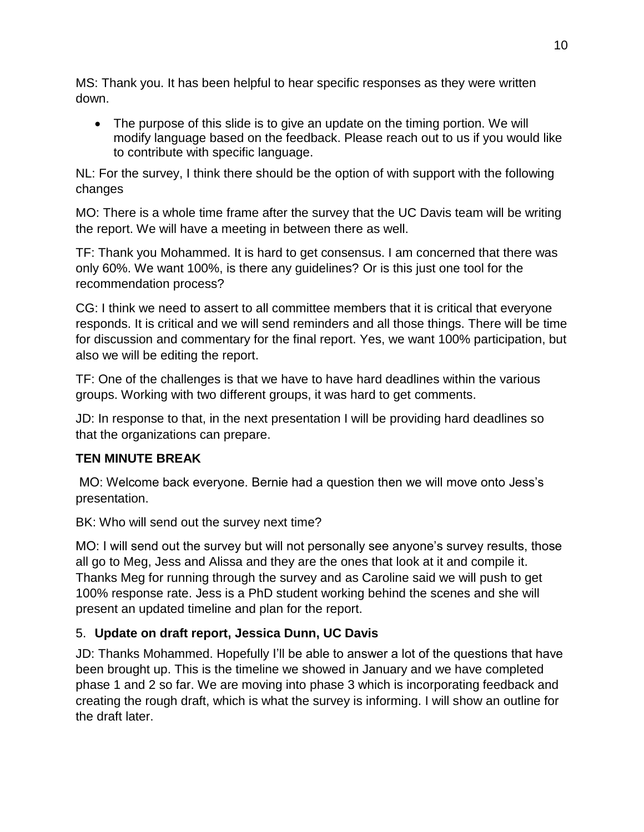MS: Thank you. It has been helpful to hear specific responses as they were written down.

• The purpose of this slide is to give an update on the timing portion. We will modify language based on the feedback. Please reach out to us if you would like to contribute with specific language.

NL: For the survey, I think there should be the option of with support with the following changes

MO: There is a whole time frame after the survey that the UC Davis team will be writing the report. We will have a meeting in between there as well.

TF: Thank you Mohammed. It is hard to get consensus. I am concerned that there was only 60%. We want 100%, is there any guidelines? Or is this just one tool for the recommendation process?

CG: I think we need to assert to all committee members that it is critical that everyone responds. It is critical and we will send reminders and all those things. There will be time for discussion and commentary for the final report. Yes, we want 100% participation, but also we will be editing the report.

TF: One of the challenges is that we have to have hard deadlines within the various groups. Working with two different groups, it was hard to get comments.

JD: In response to that, in the next presentation I will be providing hard deadlines so that the organizations can prepare.

## **TEN MINUTE BREAK**

MO: Welcome back everyone. Bernie had a question then we will move onto Jess's presentation.

BK: Who will send out the survey next time?

MO: I will send out the survey but will not personally see anyone's survey results, those all go to Meg, Jess and Alissa and they are the ones that look at it and compile it. Thanks Meg for running through the survey and as Caroline said we will push to get 100% response rate. Jess is a PhD student working behind the scenes and she will present an updated timeline and plan for the report.

# 5. **Update on draft report, Jessica Dunn, UC Davis**

JD: Thanks Mohammed. Hopefully I'll be able to answer a lot of the questions that have been brought up. This is the timeline we showed in January and we have completed phase 1 and 2 so far. We are moving into phase 3 which is incorporating feedback and creating the rough draft, which is what the survey is informing. I will show an outline for the draft later.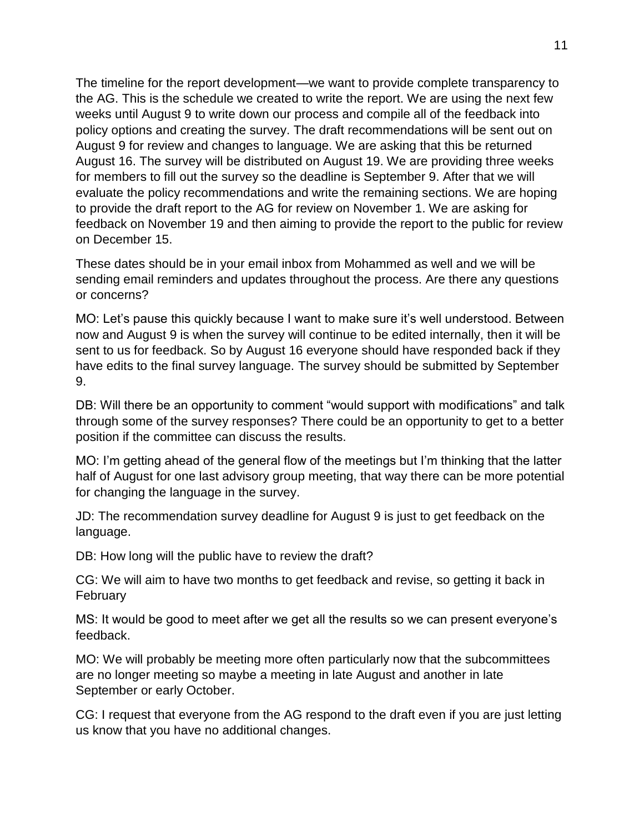The timeline for the report development—we want to provide complete transparency to the AG. This is the schedule we created to write the report. We are using the next few weeks until August 9 to write down our process and compile all of the feedback into policy options and creating the survey. The draft recommendations will be sent out on August 9 for review and changes to language. We are asking that this be returned August 16. The survey will be distributed on August 19. We are providing three weeks for members to fill out the survey so the deadline is September 9. After that we will evaluate the policy recommendations and write the remaining sections. We are hoping to provide the draft report to the AG for review on November 1. We are asking for feedback on November 19 and then aiming to provide the report to the public for review on December 15.

These dates should be in your email inbox from Mohammed as well and we will be sending email reminders and updates throughout the process. Are there any questions or concerns?

MO: Let's pause this quickly because I want to make sure it's well understood. Between now and August 9 is when the survey will continue to be edited internally, then it will be sent to us for feedback. So by August 16 everyone should have responded back if they have edits to the final survey language. The survey should be submitted by September 9.

DB: Will there be an opportunity to comment "would support with modifications" and talk through some of the survey responses? There could be an opportunity to get to a better position if the committee can discuss the results.

MO: I'm getting ahead of the general flow of the meetings but I'm thinking that the latter half of August for one last advisory group meeting, that way there can be more potential for changing the language in the survey.

JD: The recommendation survey deadline for August 9 is just to get feedback on the language.

DB: How long will the public have to review the draft?

CG: We will aim to have two months to get feedback and revise, so getting it back in February

MS: It would be good to meet after we get all the results so we can present everyone's feedback.

MO: We will probably be meeting more often particularly now that the subcommittees are no longer meeting so maybe a meeting in late August and another in late September or early October.

CG: I request that everyone from the AG respond to the draft even if you are just letting us know that you have no additional changes.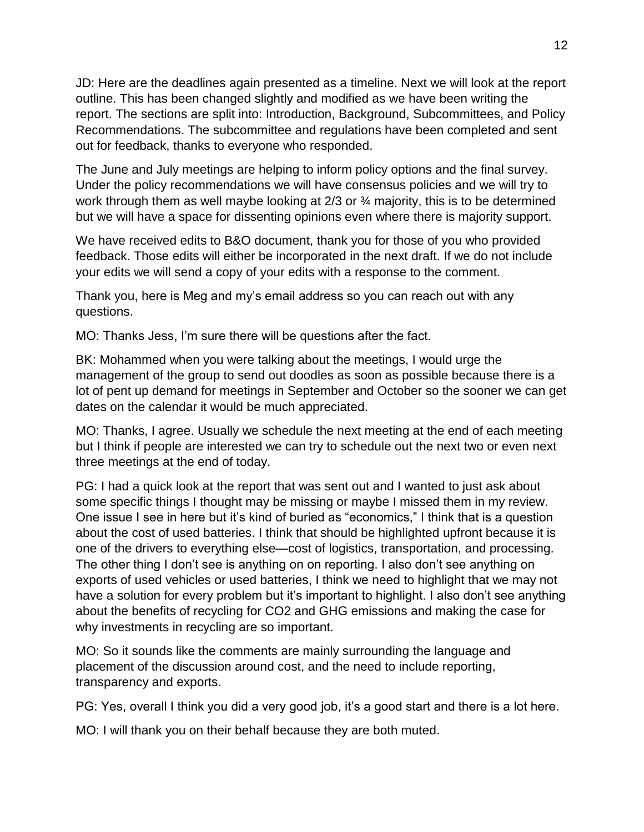JD: Here are the deadlines again presented as a timeline. Next we will look at the report outline. This has been changed slightly and modified as we have been writing the report. The sections are split into: Introduction, Background, Subcommittees, and Policy Recommendations. The subcommittee and regulations have been completed and sent out for feedback, thanks to everyone who responded.

The June and July meetings are helping to inform policy options and the final survey. Under the policy recommendations we will have consensus policies and we will try to work through them as well maybe looking at 2/3 or ¾ majority, this is to be determined but we will have a space for dissenting opinions even where there is majority support.

We have received edits to B&O document, thank you for those of you who provided feedback. Those edits will either be incorporated in the next draft. If we do not include your edits we will send a copy of your edits with a response to the comment.

Thank you, here is Meg and my's email address so you can reach out with any questions.

MO: Thanks Jess, I'm sure there will be questions after the fact.

BK: Mohammed when you were talking about the meetings, I would urge the management of the group to send out doodles as soon as possible because there is a lot of pent up demand for meetings in September and October so the sooner we can get dates on the calendar it would be much appreciated.

MO: Thanks, I agree. Usually we schedule the next meeting at the end of each meeting but I think if people are interested we can try to schedule out the next two or even next three meetings at the end of today.

PG: I had a quick look at the report that was sent out and I wanted to just ask about some specific things I thought may be missing or maybe I missed them in my review. One issue I see in here but it's kind of buried as "economics," I think that is a question about the cost of used batteries. I think that should be highlighted upfront because it is one of the drivers to everything else—cost of logistics, transportation, and processing. The other thing I don't see is anything on on reporting. I also don't see anything on exports of used vehicles or used batteries, I think we need to highlight that we may not have a solution for every problem but it's important to highlight. I also don't see anything about the benefits of recycling for CO2 and GHG emissions and making the case for why investments in recycling are so important.

MO: So it sounds like the comments are mainly surrounding the language and placement of the discussion around cost, and the need to include reporting, transparency and exports.

PG: Yes, overall I think you did a very good job, it's a good start and there is a lot here.

MO: I will thank you on their behalf because they are both muted.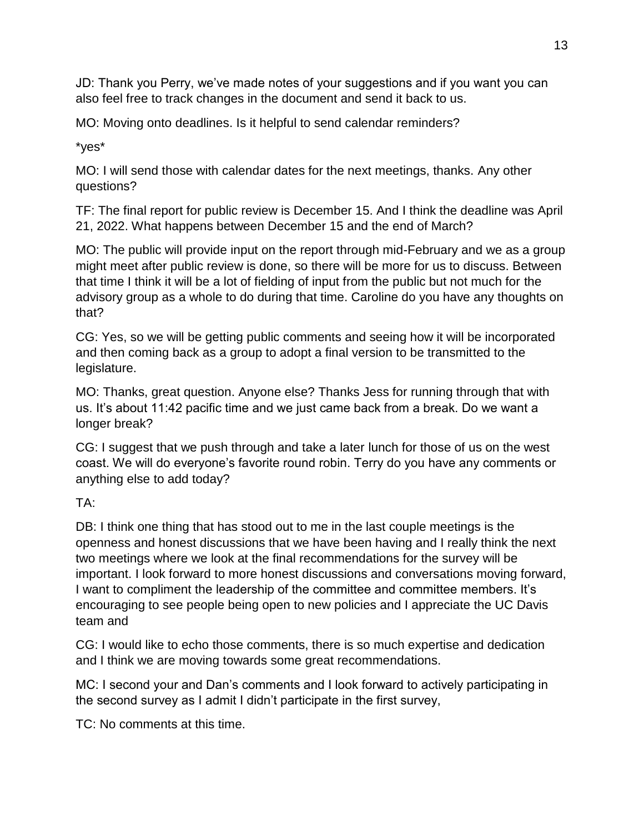JD: Thank you Perry, we've made notes of your suggestions and if you want you can also feel free to track changes in the document and send it back to us.

MO: Moving onto deadlines. Is it helpful to send calendar reminders?

\*yes\*

MO: I will send those with calendar dates for the next meetings, thanks. Any other questions?

TF: The final report for public review is December 15. And I think the deadline was April 21, 2022. What happens between December 15 and the end of March?

MO: The public will provide input on the report through mid-February and we as a group might meet after public review is done, so there will be more for us to discuss. Between that time I think it will be a lot of fielding of input from the public but not much for the advisory group as a whole to do during that time. Caroline do you have any thoughts on that?

CG: Yes, so we will be getting public comments and seeing how it will be incorporated and then coming back as a group to adopt a final version to be transmitted to the legislature.

MO: Thanks, great question. Anyone else? Thanks Jess for running through that with us. It's about 11:42 pacific time and we just came back from a break. Do we want a longer break?

CG: I suggest that we push through and take a later lunch for those of us on the west coast. We will do everyone's favorite round robin. Terry do you have any comments or anything else to add today?

TA:

DB: I think one thing that has stood out to me in the last couple meetings is the openness and honest discussions that we have been having and I really think the next two meetings where we look at the final recommendations for the survey will be important. I look forward to more honest discussions and conversations moving forward, I want to compliment the leadership of the committee and committee members. It's encouraging to see people being open to new policies and I appreciate the UC Davis team and

CG: I would like to echo those comments, there is so much expertise and dedication and I think we are moving towards some great recommendations.

MC: I second your and Dan's comments and I look forward to actively participating in the second survey as I admit I didn't participate in the first survey,

TC: No comments at this time.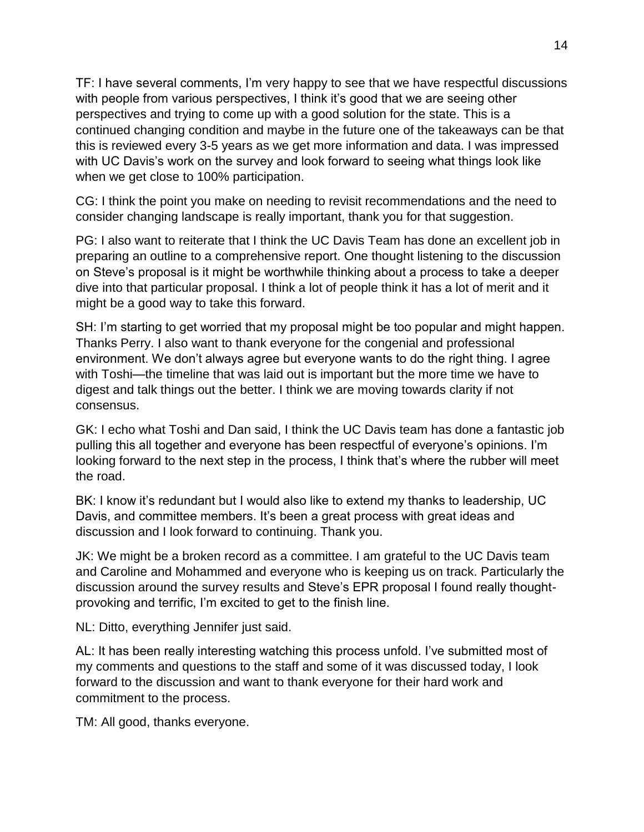TF: I have several comments, I'm very happy to see that we have respectful discussions with people from various perspectives, I think it's good that we are seeing other perspectives and trying to come up with a good solution for the state. This is a continued changing condition and maybe in the future one of the takeaways can be that this is reviewed every 3-5 years as we get more information and data. I was impressed with UC Davis's work on the survey and look forward to seeing what things look like when we get close to 100% participation.

CG: I think the point you make on needing to revisit recommendations and the need to consider changing landscape is really important, thank you for that suggestion.

PG: I also want to reiterate that I think the UC Davis Team has done an excellent job in preparing an outline to a comprehensive report. One thought listening to the discussion on Steve's proposal is it might be worthwhile thinking about a process to take a deeper dive into that particular proposal. I think a lot of people think it has a lot of merit and it might be a good way to take this forward.

SH: I'm starting to get worried that my proposal might be too popular and might happen. Thanks Perry. I also want to thank everyone for the congenial and professional environment. We don't always agree but everyone wants to do the right thing. I agree with Toshi—the timeline that was laid out is important but the more time we have to digest and talk things out the better. I think we are moving towards clarity if not consensus.

GK: I echo what Toshi and Dan said, I think the UC Davis team has done a fantastic job pulling this all together and everyone has been respectful of everyone's opinions. I'm looking forward to the next step in the process, I think that's where the rubber will meet the road.

BK: I know it's redundant but I would also like to extend my thanks to leadership, UC Davis, and committee members. It's been a great process with great ideas and discussion and I look forward to continuing. Thank you.

JK: We might be a broken record as a committee. I am grateful to the UC Davis team and Caroline and Mohammed and everyone who is keeping us on track. Particularly the discussion around the survey results and Steve's EPR proposal I found really thoughtprovoking and terrific, I'm excited to get to the finish line.

NL: Ditto, everything Jennifer just said.

AL: It has been really interesting watching this process unfold. I've submitted most of my comments and questions to the staff and some of it was discussed today, I look forward to the discussion and want to thank everyone for their hard work and commitment to the process.

TM: All good, thanks everyone.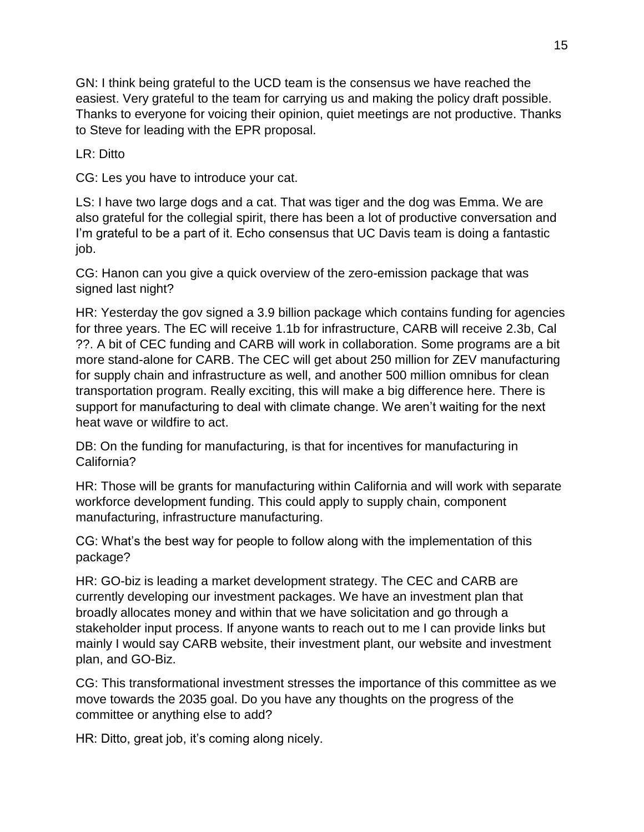GN: I think being grateful to the UCD team is the consensus we have reached the easiest. Very grateful to the team for carrying us and making the policy draft possible. Thanks to everyone for voicing their opinion, quiet meetings are not productive. Thanks to Steve for leading with the EPR proposal.

LR: Ditto

CG: Les you have to introduce your cat.

LS: I have two large dogs and a cat. That was tiger and the dog was Emma. We are also grateful for the collegial spirit, there has been a lot of productive conversation and I'm grateful to be a part of it. Echo consensus that UC Davis team is doing a fantastic job.

CG: Hanon can you give a quick overview of the zero-emission package that was signed last night?

HR: Yesterday the gov signed a 3.9 billion package which contains funding for agencies for three years. The EC will receive 1.1b for infrastructure, CARB will receive 2.3b, Cal ??. A bit of CEC funding and CARB will work in collaboration. Some programs are a bit more stand-alone for CARB. The CEC will get about 250 million for ZEV manufacturing for supply chain and infrastructure as well, and another 500 million omnibus for clean transportation program. Really exciting, this will make a big difference here. There is support for manufacturing to deal with climate change. We aren't waiting for the next heat wave or wildfire to act.

DB: On the funding for manufacturing, is that for incentives for manufacturing in California?

HR: Those will be grants for manufacturing within California and will work with separate workforce development funding. This could apply to supply chain, component manufacturing, infrastructure manufacturing.

CG: What's the best way for people to follow along with the implementation of this package?

HR: GO-biz is leading a market development strategy. The CEC and CARB are currently developing our investment packages. We have an investment plan that broadly allocates money and within that we have solicitation and go through a stakeholder input process. If anyone wants to reach out to me I can provide links but mainly I would say CARB website, their investment plant, our website and investment plan, and GO-Biz.

CG: This transformational investment stresses the importance of this committee as we move towards the 2035 goal. Do you have any thoughts on the progress of the committee or anything else to add?

HR: Ditto, great job, it's coming along nicely.